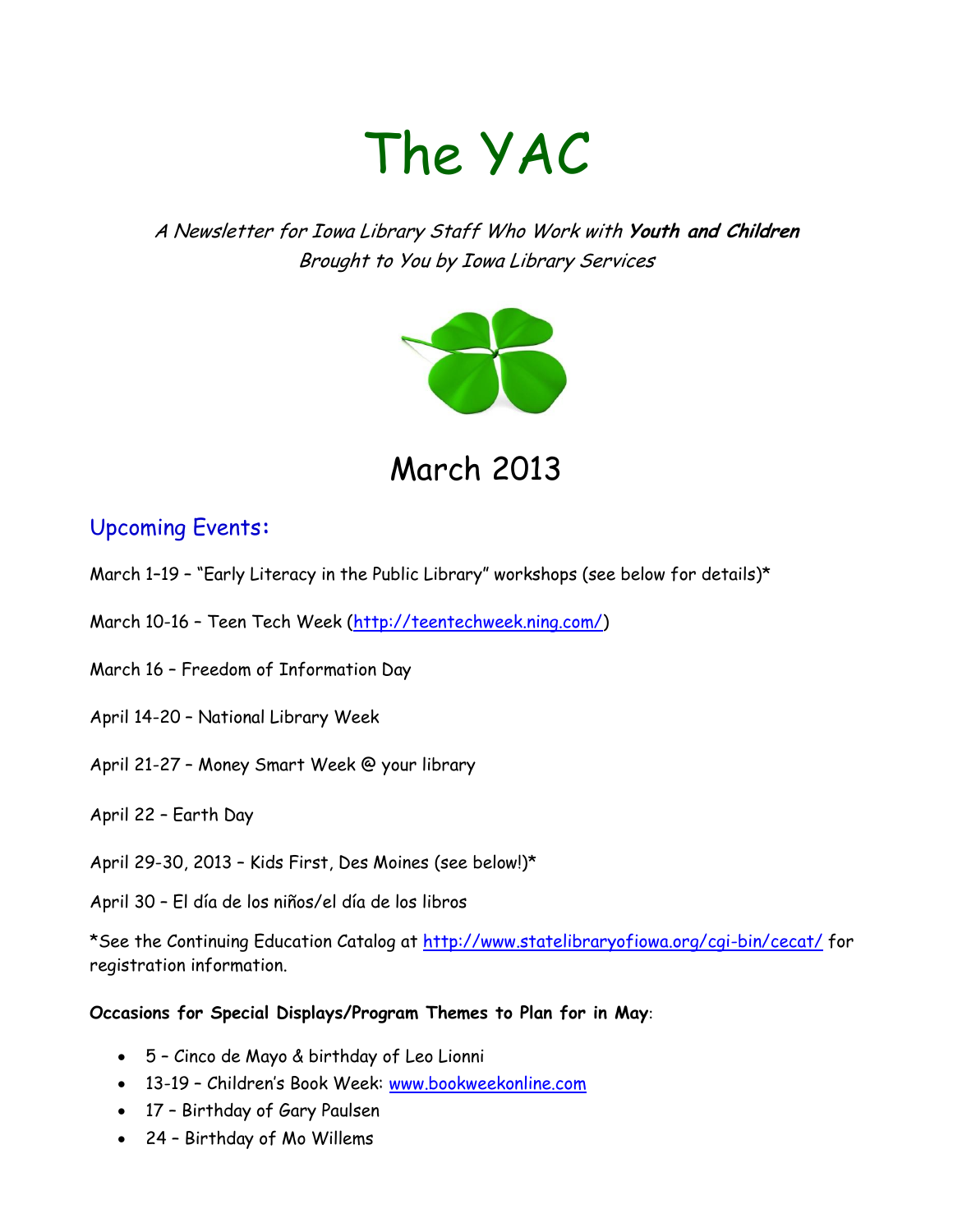# The YAC

A Newsletter for Iowa Library Staff Who Work with **Youth and Children** Brought to You by Iowa Library Services



March 2013

## Upcoming Events**:**

- March 1–19 "Early Literacy in the Public Library" workshops (see below for details)\*
- March 10-16 Teen Tech Week [\(http://teentechweek.ning.com/\)](http://teentechweek.ning.com/)
- March 16 Freedom of Information Day
- April 14-20 National Library Week
- April 21-27 Money Smart Week @ your library
- April 22 Earth Day
- April 29-30, 2013 Kids First, Des Moines (see below!)\*
- April 30 El día de los niños/el día de los libros

\*See the Continuing Education Catalog at<http://www.statelibraryofiowa.org/cgi-bin/cecat/> for registration information.

#### **Occasions for Special Displays/Program Themes to Plan for in May**:

- 5 Cinco de Mayo & birthday of Leo Lionni
- 13-19 Children's Book Week: [www.bookweekonline.com](http://www.bookweekonline.com/)
- 17 Birthday of Gary Paulsen
- 24 Birthday of Mo Willems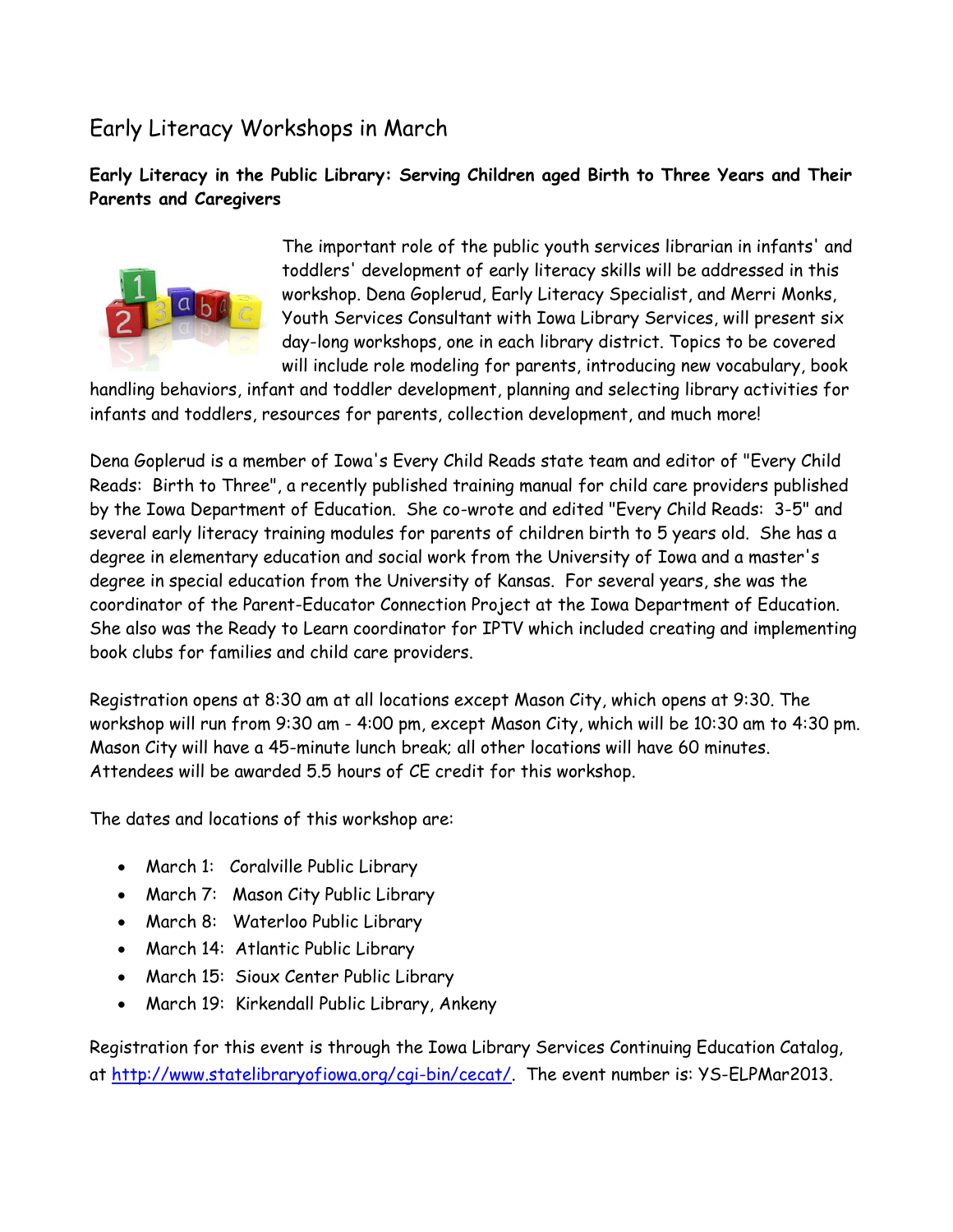## Early Literacy Workshops in March

#### **Early Literacy in the Public Library: Serving Children aged Birth to Three Years and Their Parents and Caregivers**



The important role of the public youth services librarian in infants' and toddlers' development of early literacy skills will be addressed in this workshop. Dena Goplerud, Early Literacy Specialist, and Merri Monks, Youth Services Consultant with Iowa Library Services, will present six day-long workshops, one in each library district. Topics to be covered will include role modeling for parents, introducing new vocabulary, book

handling behaviors, infant and toddler development, planning and selecting library activities for infants and toddlers, resources for parents, collection development, and much more!

Dena Goplerud is a member of Iowa's Every Child Reads state team and editor of "Every Child Reads: Birth to Three", a recently published training manual for child care providers published by the Iowa Department of Education. She co-wrote and edited "Every Child Reads: 3-5" and several early literacy training modules for parents of children birth to 5 years old. She has a degree in elementary education and social work from the University of Iowa and a master's degree in special education from the University of Kansas. For several years, she was the coordinator of the Parent-Educator Connection Project at the Iowa Department of Education. She also was the Ready to Learn coordinator for IPTV which included creating and implementing book clubs for families and child care providers.

Registration opens at 8:30 am at all locations except Mason City, which opens at 9:30. The workshop will run from 9:30 am - 4:00 pm, except Mason City, which will be 10:30 am to 4:30 pm. Mason City will have a 45-minute lunch break; all other locations will have 60 minutes. Attendees will be awarded 5.5 hours of CE credit for this workshop.

The dates and locations of this workshop are:

- March 1: Coralville Public Library
- March 7: Mason City Public Library
- March 8: Waterloo Public Library
- March 14: Atlantic Public Library
- March 15: Sioux Center Public Library
- March 19: Kirkendall Public Library, Ankeny

Registration for this event is through the Iowa Library Services Continuing Education Catalog, at [http://www.statelibraryofiowa.org/cgi-bin/cecat/.](http://www.statelibraryofiowa.org/cgi-bin/cecat/) The event number is: YS-ELPMar2013.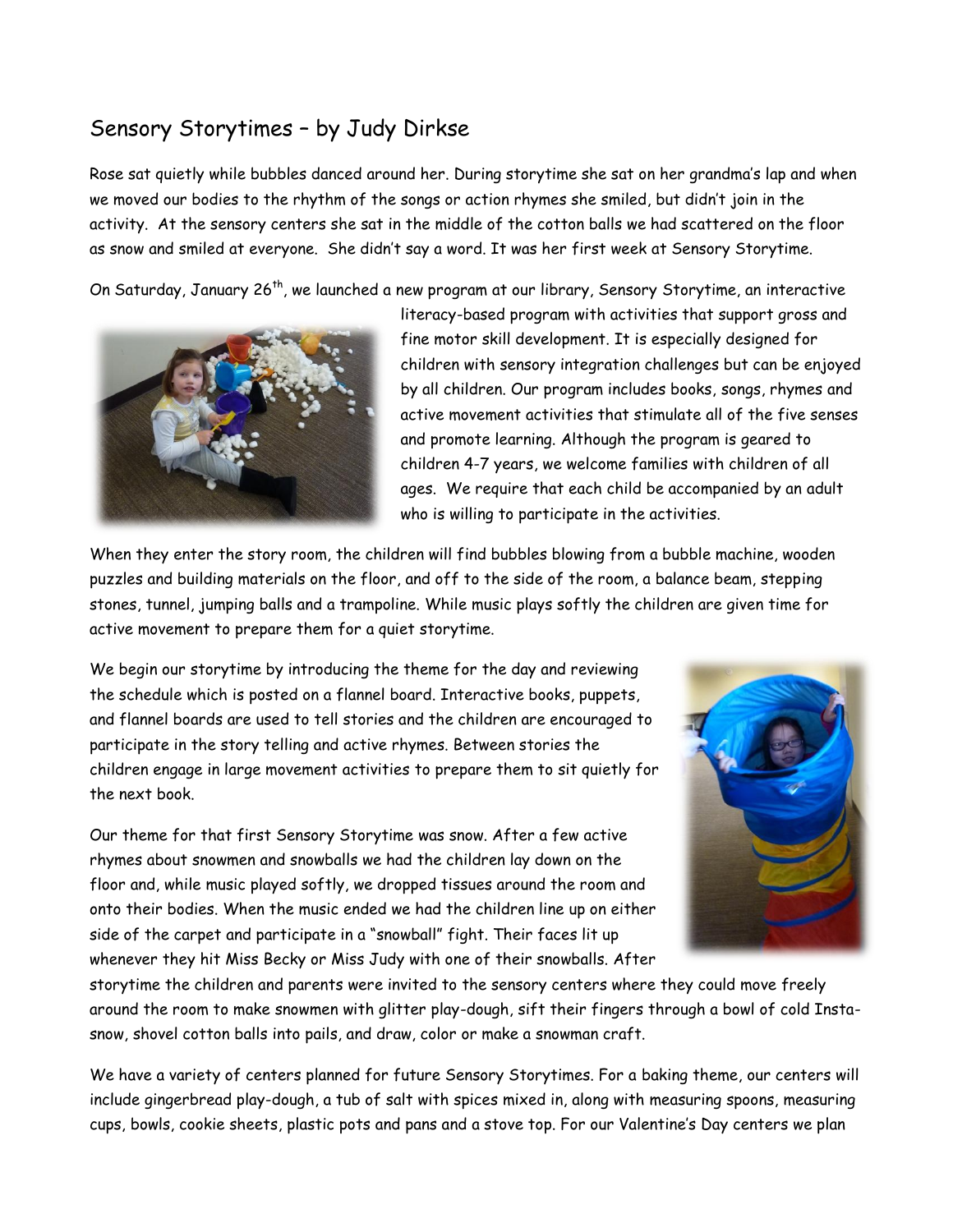### Sensory Storytimes – by Judy Dirkse

Rose sat quietly while bubbles danced around her. During storytime she sat on her grandma's lap and when we moved our bodies to the rhythm of the songs or action rhymes she smiled, but didn't join in the activity. At the sensory centers she sat in the middle of the cotton balls we had scattered on the floor as snow and smiled at everyone. She didn't say a word. It was her first week at Sensory Storytime.

On Saturday, January 26<sup>th</sup>, we launched a new program at our library, Sensory Storytime, an interactive



literacy-based program with activities that support gross and fine motor skill development. It is especially designed for children with sensory integration challenges but can be enjoyed by all children. Our program includes books, songs, rhymes and active movement activities that stimulate all of the five senses and promote learning. Although the program is geared to children 4-7 years, we welcome families with children of all ages. We require that each child be accompanied by an adult who is willing to participate in the activities.

When they enter the story room, the children will find bubbles blowing from a bubble machine, wooden puzzles and building materials on the floor, and off to the side of the room, a balance beam, stepping stones, tunnel, jumping balls and a trampoline. While music plays softly the children are given time for active movement to prepare them for a quiet storytime.

We begin our storytime by introducing the theme for the day and reviewing the schedule which is posted on a flannel board. Interactive books, puppets, and flannel boards are used to tell stories and the children are encouraged to participate in the story telling and active rhymes. Between stories the children engage in large movement activities to prepare them to sit quietly for the next book.

Our theme for that first Sensory Storytime was snow. After a few active rhymes about snowmen and snowballs we had the children lay down on the floor and, while music played softly, we dropped tissues around the room and onto their bodies. When the music ended we had the children line up on either side of the carpet and participate in a "snowball" fight. Their faces lit up whenever they hit Miss Becky or Miss Judy with one of their snowballs. After



storytime the children and parents were invited to the sensory centers where they could move freely around the room to make snowmen with glitter play-dough, sift their fingers through a bowl of cold Instasnow, shovel cotton balls into pails, and draw, color or make a snowman craft.

We have a variety of centers planned for future Sensory Storytimes. For a baking theme, our centers will include gingerbread play-dough, a tub of salt with spices mixed in, along with measuring spoons, measuring cups, bowls, cookie sheets, plastic pots and pans and a stove top. For our Valentine's Day centers we plan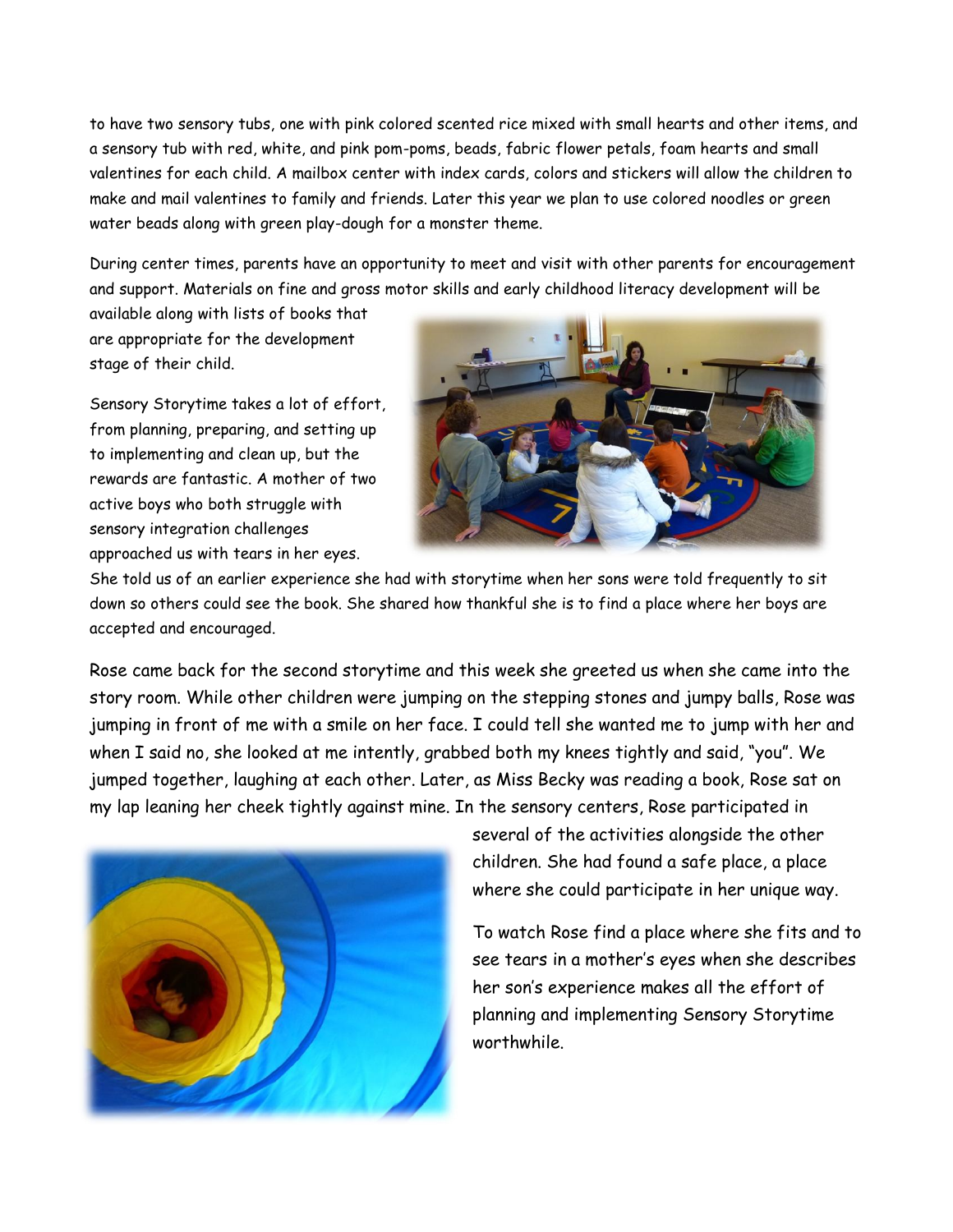to have two sensory tubs, one with pink colored scented rice mixed with small hearts and other items, and a sensory tub with red, white, and pink pom-poms, beads, fabric flower petals, foam hearts and small valentines for each child. A mailbox center with index cards, colors and stickers will allow the children to make and mail valentines to family and friends. Later this year we plan to use colored noodles or green water beads along with green play-dough for a monster theme.

During center times, parents have an opportunity to meet and visit with other parents for encouragement and support. Materials on fine and gross motor skills and early childhood literacy development will be

available along with lists of books that are appropriate for the development stage of their child.

Sensory Storytime takes a lot of effort, from planning, preparing, and setting up to implementing and clean up, but the rewards are fantastic. A mother of two active boys who both struggle with sensory integration challenges approached us with tears in her eyes.



She told us of an earlier experience she had with storytime when her sons were told frequently to sit down so others could see the book. She shared how thankful she is to find a place where her boys are accepted and encouraged.

Rose came back for the second storytime and this week she greeted us when she came into the story room. While other children were jumping on the stepping stones and jumpy balls, Rose was jumping in front of me with a smile on her face. I could tell she wanted me to jump with her and when I said no, she looked at me intently, grabbed both my knees tightly and said, "you". We jumped together, laughing at each other. Later, as Miss Becky was reading a book, Rose sat on my lap leaning her cheek tightly against mine. In the sensory centers, Rose participated in



several of the activities alongside the other children. She had found a safe place, a place where she could participate in her unique way.

To watch Rose find a place where she fits and to see tears in a mother's eyes when she describes her son's experience makes all the effort of planning and implementing Sensory Storytime worthwhile.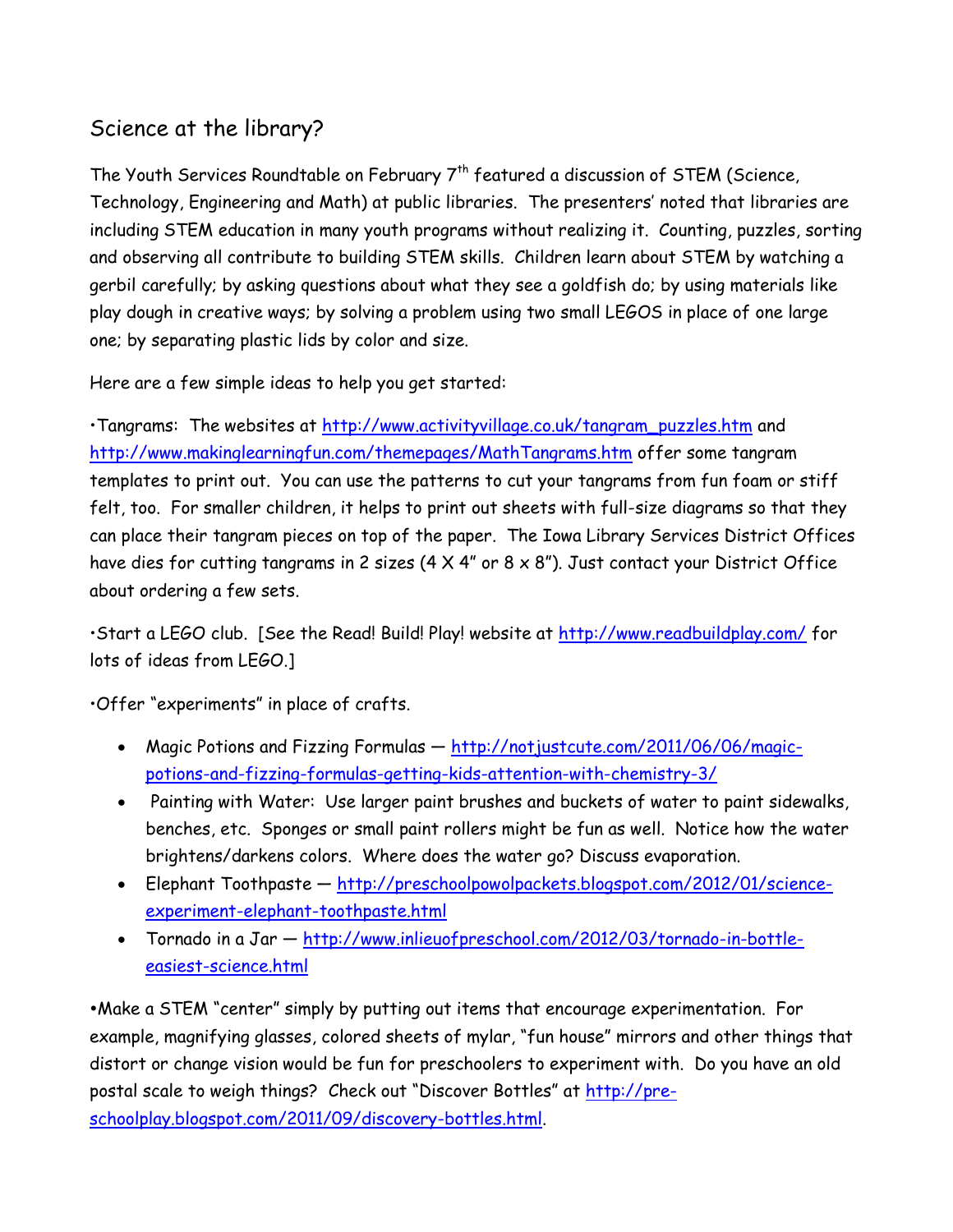## Science at the library?

The Youth Services Roundtable on February 7<sup>th</sup> featured a discussion of STEM (Science, Technology, Engineering and Math) at public libraries. The presenters' noted that libraries are including STEM education in many youth programs without realizing it. Counting, puzzles, sorting and observing all contribute to building STEM skills. Children learn about STEM by watching a gerbil carefully; by asking questions about what they see a goldfish do; by using materials like play dough in creative ways; by solving a problem using two small LEGOS in place of one large one; by separating plastic lids by color and size.

Here are a few simple ideas to help you get started:

•Tangrams: The websites at [http://www.activityvillage.co.uk/tangram\\_puzzles.htm](http://www.activityvillage.co.uk/tangram_puzzles.htm) and <http://www.makinglearningfun.com/themepages/MathTangrams.htm> offer some tangram templates to print out. You can use the patterns to cut your tangrams from fun foam or stiff felt, too. For smaller children, it helps to print out sheets with full-size diagrams so that they can place their tangram pieces on top of the paper. The Iowa Library Services District Offices have dies for cutting tangrams in 2 sizes ( $4 \times 4$ " or  $8 \times 8$ "). Just contact your District Office about ordering a few sets.

•Start a LEGO club. [See the Read! Build! Play! website at<http://www.readbuildplay.com/> for lots of ideas from LEGO.]

•Offer "experiments" in place of crafts.

- Magic Potions and Fizzing Formulas [http://notjustcute.com/2011/06/06/magic](http://notjustcute.com/2011/06/06/magic-potions-and-fizzing-formulas-getting-kids-attention-with-chemistry-3/)[potions-and-fizzing-formulas-getting-kids-attention-with-chemistry-3/](http://notjustcute.com/2011/06/06/magic-potions-and-fizzing-formulas-getting-kids-attention-with-chemistry-3/)
- Painting with Water: Use larger paint brushes and buckets of water to paint sidewalks, benches, etc. Sponges or small paint rollers might be fun as well. Notice how the water brightens/darkens colors. Where does the water go? Discuss evaporation.
- Elephant Toothpaste [http://preschoolpowolpackets.blogspot.com/2012/01/science](http://preschoolpowolpackets.blogspot.com/2012/01/science-experiment-elephant-toothpaste.html)[experiment-elephant-toothpaste.html](http://preschoolpowolpackets.blogspot.com/2012/01/science-experiment-elephant-toothpaste.html)
- Tornado in a Jar [http://www.inlieuofpreschool.com/2012/03/tornado-in-bottle](http://www.inlieuofpreschool.com/2012/03/tornado-in-bottle-easiest-science.html)[easiest-science.html](http://www.inlieuofpreschool.com/2012/03/tornado-in-bottle-easiest-science.html)

Make a STEM "center" simply by putting out items that encourage experimentation. For example, magnifying glasses, colored sheets of mylar, "fun house" mirrors and other things that distort or change vision would be fun for preschoolers to experiment with. Do you have an old postal scale to weigh things? Check out "Discover Bottles" at [http://pre](http://pre-schoolplay.blogspot.com/2011/09/discovery-bottles.html)[schoolplay.blogspot.com/2011/09/discovery-bottles.html.](http://pre-schoolplay.blogspot.com/2011/09/discovery-bottles.html)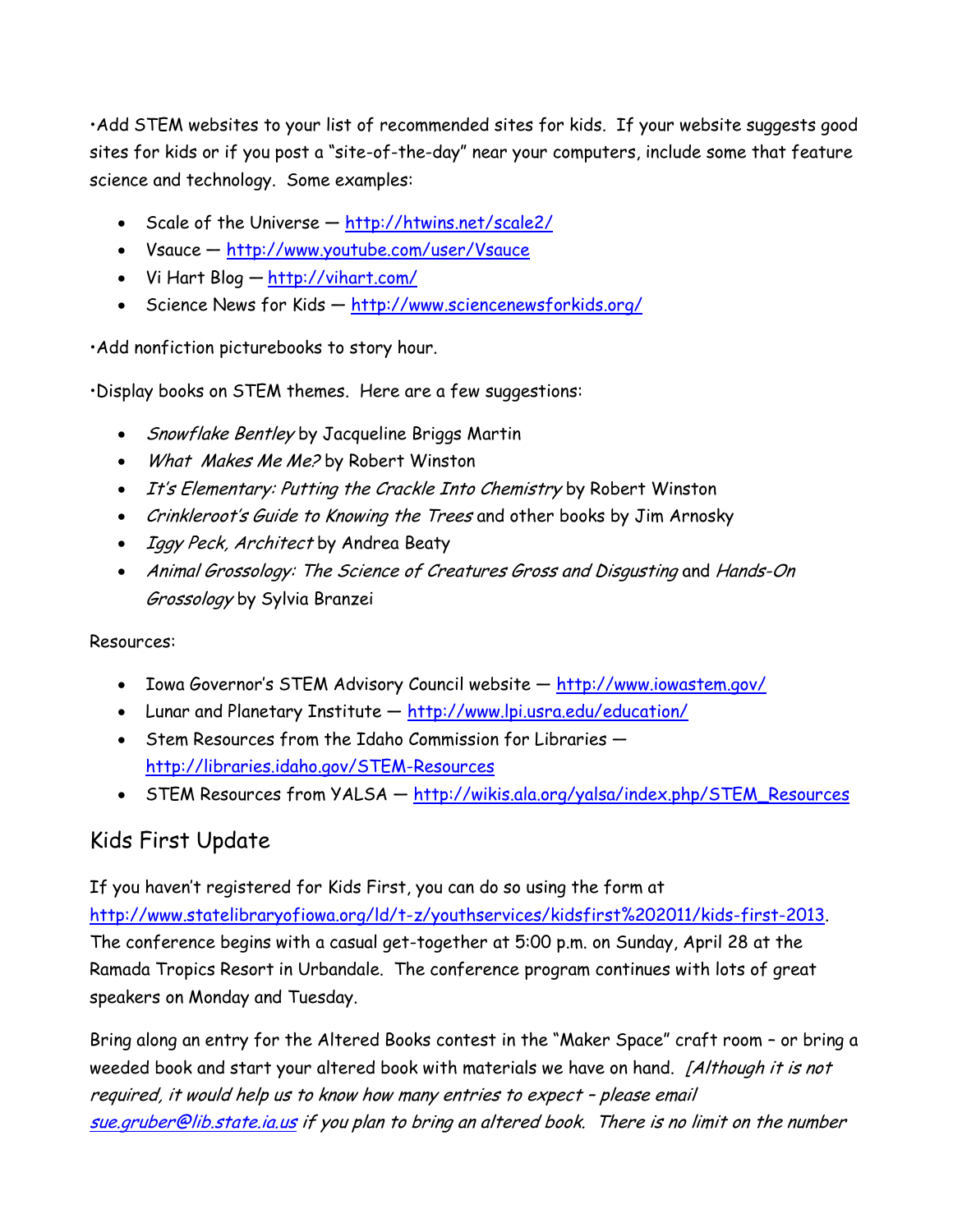•Add STEM websites to your list of recommended sites for kids. If your website suggests good sites for kids or if you post a "site-of-the-day" near your computers, include some that feature science and technology. Some examples:

- Scale of the Universe <http://htwins.net/scale2/>
- Vsauce <http://www.youtube.com/user/Vsauce>
- Vi Hart Blog <http://vihart.com/>
- Science News for Kids <http://www.sciencenewsforkids.org/>

•Add nonfiction picturebooks to story hour.

•Display books on STEM themes. Here are a few suggestions:

- Snowflake Bentley by Jacqueline Briggs Martin
- What Makes Me Me? by Robert Winston
- It's Elementary: Putting the Crackle Into Chemistry by Robert Winston
- Crinkleroot's Guide to Knowing the Trees and other books by Jim Arnosky
- *Iggy Peck, Architect* by Andrea Beaty
- Animal Grossology: The Science of Creatures Gross and Disgusting and Hands-On Grossology by Sylvia Branzei

Resources:

- Iowa Governor's STEM Advisory Council website <http://www.iowastem.gov/>
- Lunar and Planetary Institute <http://www.lpi.usra.edu/education/>
- Stem Resources from the Idaho Commission for Libraries <http://libraries.idaho.gov/STEM-Resources>
- STEM Resources from YALSA [http://wikis.ala.org/yalsa/index.php/STEM\\_Resources](http://wikis.ala.org/yalsa/index.php/STEM_Resources)

# Kids First Update

If you haven't registered for Kids First, you can do so using the form at [http://www.statelibraryofiowa.org/ld/t-z/youthservices/kidsfirst%202011/kids-first-2013.](http://www.statelibraryofiowa.org/ld/t-z/youthservices/kidsfirst%202011/kids-first-2013) The conference begins with a casual get-together at 5:00 p.m. on Sunday, April 28 at the Ramada Tropics Resort in Urbandale. The conference program continues with lots of great speakers on Monday and Tuesday.

Bring along an entry for the Altered Books contest in the "Maker Space" craft room – or bring a weeded book and start your altered book with materials we have on hand. [Although it is not required, it would help us to know how many entries to expect – please email [sue.gruber@lib.state.ia.us](mailto:sue.gruber@lib.state.ia.us) if you plan to bring an altered book. There is no limit on the number